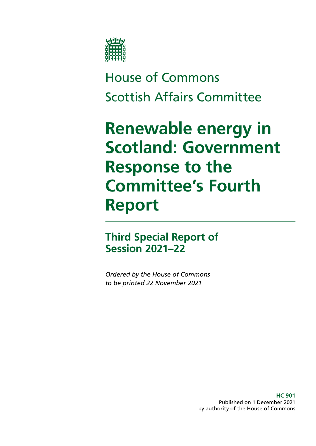

## House of Commons Scottish Affairs Committee

# **Renewable energy in Scotland: Government Response to the Committee's Fourth Report**

### **Third Special Report of Session 2021–22**

*Ordered by the House of Commons to be printed 22 November 2021*

> **HC 901** Published on 1 December 2021 by authority of the House of Commons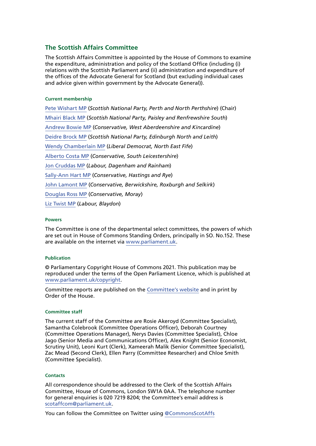#### **The Scottish Affairs Committee**

The Scottish Affairs Committee is appointed by the House of Commons to examine the expenditure, administration and policy of the Scotland Office (including (i) relations with the Scottish Parliament and (ii) administration and expenditure of the offices of the Advocate General for Scotland (but excluding individual cases and advice given within government by the Advocate General)).

#### **Current membership**

[Pete Wishart MP](https://members.parliament.uk/member/1440/contact) (*Scottish National Party, Perth and North Perthshire*) (Chair) [Mhairi Black MP](https://members.parliament.uk/member/4421/contact) (*Scottish National Party, Paisley and Renfrewshire South*) [Andrew Bowie MP](https://members.parliament.uk/member/4601/contact) (*Conservative, West Aberdeenshire and Kincardine*) [Deidre Brock MP](https://members.parliament.uk/member/4417/contact) (*Scottish National Party, Edinburgh North and Leith*) [Wendy Chamberlain MP](https://members.parliament.uk/member/4765/contact) (*Liberal Democrat, North East Fife*) [Alberto Costa MP](https://members.parliament.uk/member/4439/contact) (*Conservative, South Leicestershire*) [Jon Cruddas MP](https://members.parliament.uk/member/1406/contact) (*Labour, Dagenham and Rainham*) [Sally-Ann Hart MP](https://members.parliament.uk/member/4842/contact) (*Conservative, Hastings and Rye*) [John Lamont MP](https://members.parliament.uk/member/4608/contact) (*Conservative, Berwickshire, Roxburgh and Selkirk*) [Douglas Ross MP](https://members.parliament.uk/member/4627/contact) (*Conservative, Moray*) [Liz Twist MP](https://members.parliament.uk/member/4618/contact) (*Labour, Blaydon*)

#### **Powers**

The Committee is one of the departmental select committees, the powers of which are set out in House of Commons Standing Orders, principally in SO. No.152. These are available on the internet via [www.parliament.uk.](https://www.parliament.uk/)

#### **Publication**

© Parliamentary Copyright House of Commons 2021. This publication may be reproduced under the terms of the Open Parliament Licence, which is published at [www.parliament.uk/copyright](https://www.parliament.uk/site-information/copyright-parliament/).

Committee reports are published on the [Committee's website](http://www.parliament.uk/business/committees/committees-a-z/commons-select/scottish-affairs-committee/) and in print by Order of the House.

#### **Committee staff**

The current staff of the Committee are Rosie Akeroyd (Committee Specialist), Samantha Colebrook (Committee Operations Officer), Deborah Courtney (Committee Operations Manager), Nerys Davies (Committee Specialist), Chloe Jago (Senior Media and Communications Officer), Alex Knight (Senior Economist, Scrutiny Unit), Leoni Kurt (Clerk), Xameerah Malik (Senior Committee Specialist), Zac Mead (Second Clerk), Ellen Parry (Committee Researcher) and Chloe Smith (Committee Specialist).

#### **Contacts**

All correspondence should be addressed to the Clerk of the Scottish Affairs Committee, House of Commons, London SW1A 0AA. The telephone number for general enquiries is 020 7219 8204; the Committee's email address is [scotaffcom@parliament.uk.](mailto:scotaffcom%40parliament.uk?subject=)

You can follow the Committee on Twitter using [@CommonsScotAffs](https://twitter.com/commonsscotaffs?lang=en)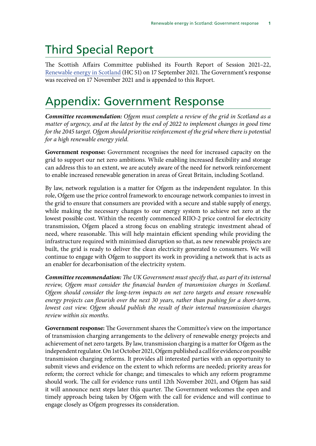### Third Special Report

The Scottish Affairs Committee published its Fourth Report of Session 2021–22, [Renewable energy in Scotland](https://publications.parliament.uk/pa/cm5802/cmselect/cmscotaf/51/5102.htm) (HC 51) on 17 September 2021. The Government's response was received on 17 November 2021 and is appended to this Report.

### Appendix: Government Response

*Committee recommendation: Ofgem must complete a review of the grid in Scotland as a matter of urgency, and at the latest by the end of 2022 to implement changes in good time for the 2045 target. Ofgem should prioritise reinforcement of the grid where there is potential for a high renewable energy yield.*

**Government response:** Government recognises the need for increased capacity on the grid to support our net zero ambitions. While enabling increased flexibility and storage can address this to an extent, we are acutely aware of the need for network reinforcement to enable increased renewable generation in areas of Great Britain, including Scotland.

By law, network regulation is a matter for Ofgem as the independent regulator. In this role, Ofgem use the price control framework to encourage network companies to invest in the grid to ensure that consumers are provided with a secure and stable supply of energy, while making the necessary changes to our energy system to achieve net zero at the lowest possible cost. Within the recently commenced RIIO-2 price control for electricity transmission, Ofgem placed a strong focus on enabling strategic investment ahead of need, where reasonable. This will help maintain efficient spending while providing the infrastructure required with minimised disruption so that, as new renewable projects are built, the grid is ready to deliver the clean electricity generated to consumers. We will continue to engage with Ofgem to support its work in providing a network that is acts as an enabler for decarbonisation of the electricity system.

*Committee recommendation: The UK Government must specify that, as part of its internal*  review, Ofgem must consider the financial burden of transmission charges in Scotland. *Ofgem should consider the long-term impacts on net zero targets and ensure renewable energy projects can flourish over the next 30 years, rather than pushing for a short-term,*  lowest cost view. Ofgem should publish the result of their internal transmission charges *review within six months.*

**Government response:** The Government shares the Committee's view on the importance of transmission charging arrangements to the delivery of renewable energy projects and achievement of net zero targets. By law, transmission charging is a matter for Ofgem as the independent regulator. On 1st October 2021, Ofgem published a call for evidence on possible transmission charging reforms. It provides all interested parties with an opportunity to submit views and evidence on the extent to which reforms are needed; priority areas for reform; the correct vehicle for change; and timescales to which any reform programme should work. The call for evidence runs until 12th November 2021, and Ofgem has said it will announce next steps later this quarter. The Government welcomes the open and timely approach being taken by Ofgem with the call for evidence and will continue to engage closely as Ofgem progresses its consideration.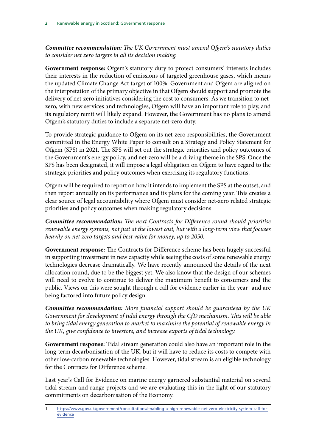*Committee recommendation: The UK Government must amend Ofgem's statutory duties to consider net zero targets in all its decision making.*

**Government response:** Ofgem's statutory duty to protect consumers' interests includes their interests in the reduction of emissions of targeted greenhouse gases, which means the updated Climate Change Act target of 100%. Government and Ofgem are aligned on the interpretation of the primary objective in that Ofgem should support and promote the delivery of net-zero initiatives considering the cost to consumers. As we transition to netzero, with new services and technologies, Ofgem will have an important role to play, and its regulatory remit will likely expand. However, the Government has no plans to amend Ofgem's statutory duties to include a separate net-zero duty.

To provide strategic guidance to Ofgem on its net-zero responsibilities, the Government committed in the Energy White Paper to consult on a Strategy and Policy Statement for Ofgem (SPS) in 2021. The SPS will set out the strategic priorities and policy outcomes of the Government's energy policy, and net-zero will be a driving theme in the SPS. Once the SPS has been designated, it will impose a legal obligation on Ofgem to have regard to the strategic priorities and policy outcomes when exercising its regulatory functions.

Ofgem will be required to report on how it intends to implement the SPS at the outset, and then report annually on its performance and its plans for the coming year. This creates a clear source of legal accountability where Ofgem must consider net-zero related strategic priorities and policy outcomes when making regulatory decisions.

*Committee recommendation: The next Contracts for Difference round should prioritise renewable energy systems, not just at the lowest cost, but with a long-term view that focuses heavily on net zero targets and best value for money, up to 2050.*

**Government response:** The Contracts for Difference scheme has been hugely successful in supporting investment in new capacity while seeing the costs of some renewable energy technologies decrease dramatically. We have recently announced the details of the next allocation round, due to be the biggest yet. We also know that the design of our schemes will need to evolve to continue to deliver the maximum benefit to consumers and the public. Views on this were sought through a call for evidence earlier in the year<sup>1</sup> and are being factored into future policy design.

*Committee recommendation: More financial support should be guaranteed by the UK Government for development of tidal energy through the CfD mechanism. This will be able to bring tidal energy generation to market to maximise the potential of renewable energy in the UK, give confidence to investors, and increase exports of tidal technology.*

**Government response:** Tidal stream generation could also have an important role in the long-term decarbonisation of the UK, but it will have to reduce its costs to compete with other low-carbon renewable technologies. However, tidal stream is an eligible technology for the Contracts for Difference scheme.

Last year's Call for Evidence on marine energy garnered substantial material on several tidal stream and range projects and we are evaluating this in the light of our statutory commitments on decarbonisation of the Economy.

<sup>1</sup> [https://www.gov.uk/government/consultations/enabling-a-high-renewable-net-zero-electricity-system-call-for]( https://www.gov.uk/government/consultations/enabling-a-high-renewable-net-zero-electricity-system-c)[evidence]( https://www.gov.uk/government/consultations/enabling-a-high-renewable-net-zero-electricity-system-c)